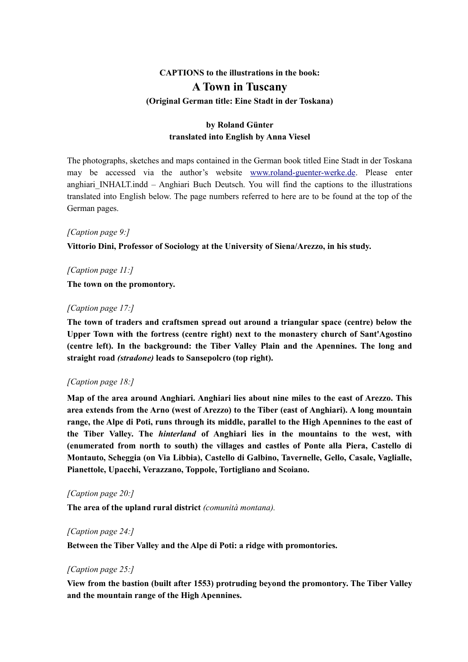# **CAPTIONS to the illustrations in the book: A Town in Tuscany (Original German title: Eine Stadt in der Toskana)**

# **by Roland Günter translated into English by Anna Viesel**

The photographs, sketches and maps contained in the German book titled Eine Stadt in der Toskana may be accessed via the author's website [www.roland-guenter-werke.de.](http://www.roland-guenter-werke.de/) Please enter anghiari INHALT.indd – Anghiari Buch Deutsch. You will find the captions to the illustrations translated into English below. The page numbers referred to here are to be found at the top of the German pages.

#### *[Caption page 9:]*

**Vittorio Dini, Professor of Sociology at the University of Siena/Arezzo, in his study.**

# *[Caption page 11:]*

**The town on the promontory.**

#### *[Caption page 17:]*

**The town of traders and craftsmen spread out around a triangular space (centre) below the Upper Town with the fortress (centre right) next to the monastery church of Sant'Agostino (centre left). In the background: the Tiber Valley Plain and the Apennines. The long and straight road** *(stradone)* **leads to Sansepolcro (top right).**

#### *[Caption page 18:]*

**Map of the area around Anghiari. Anghiari lies about nine miles to the east of Arezzo. This area extends from the Arno (west of Arezzo) to the Tiber (east of Anghiari). A long mountain range, the Alpe di Poti, runs through its middle, parallel to the High Apennines to the east of the Tiber Valley. The** *hinterland* **of Anghiari lies in the mountains to the west, with (enumerated from north to south) the villages and castles of Ponte alla Piera, Castello di Montauto, Scheggia (on Via Libbia), Castello di Galbino, Tavernelle, Gello, Casale, Vaglialle, Pianettole, Upacchi, Verazzano, Toppole, Tortigliano and Scoiano.**

#### *[Caption page 20:]*

**The area of the upland rural district** *(comunità montana).*

#### *[Caption page 24:]*

**Between the Tiber Valley and the Alpe di Poti: a ridge with promontories.**

#### *[Caption page 25:]*

**View from the bastion (built after 1553) protruding beyond the promontory. The Tiber Valley and the mountain range of the High Apennines.**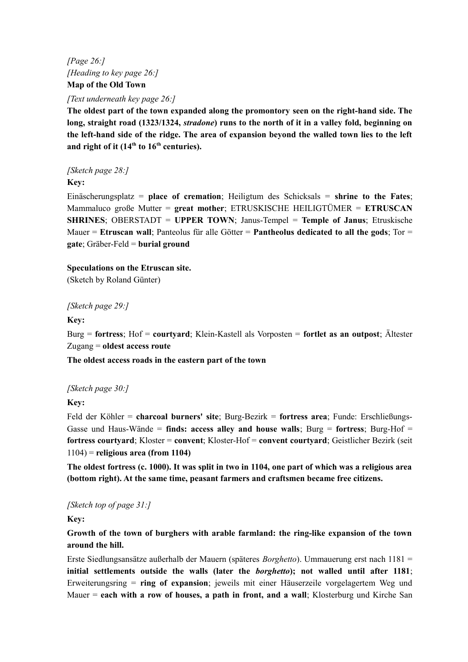*[Page 26:] [Heading to key page 26:]* **Map of the Old Town**

*[Text underneath key page 26:]*

**The oldest part of the town expanded along the promontory seen on the right-hand side. The long, straight road (1323/1324,** *stradone***) runs to the north of it in a valley fold, beginning on the left-hand side of the ridge. The area of expansion beyond the walled town lies to the left and right of it (14th to 16th centuries).**

*[Sketch page 28:]*

**Key:**

Einäscherungsplatz = **place of cremation**; Heiligtum des Schicksals = **shrine to the Fates**; Mammaluco große Mutter = **great mother**; ETRUSKISCHE HEILIGTÜMER = **ETRUSCAN SHRINES**; OBERSTADT = **UPPER TOWN**; Janus-Tempel = **Temple of Janus**; Etruskische Mauer = **Etruscan wall**; Panteolus für alle Götter = **Pantheolus dedicated to all the gods**; Tor = **gate**; Gräber-Feld = **burial ground**

**Speculations on the Etruscan site.**

(Sketch by Roland Günter)

*[Sketch page 29:]*

**Key:**

Burg = **fortress**; Hof = **courtyard**; Klein-Kastell als Vorposten = **fortlet as an outpost**; Ältester Zugang = **oldest access route**

**The oldest access roads in the eastern part of the town**

*[Sketch page 30:]*

**Key:**

Feld der Köhler = **charcoal burners' site**; Burg-Bezirk = **fortress area**; Funde: Erschließungs-Gasse und Haus-Wände = **finds: access alley and house walls**; Burg = **fortress**; Burg-Hof = **fortress courtyard**; Kloster = **convent**; Kloster-Hof = **convent courtyard**; Geistlicher Bezirk (seit 1104) = **religious area (from 1104)**

**The oldest fortress (c. 1000). It was split in two in 1104, one part of which was a religious area (bottom right). At the same time, peasant farmers and craftsmen became free citizens.**

*[Sketch top of page 31:]*

**Key:**

**Growth of the town of burghers with arable farmland: the ring-like expansion of the town around the hill.**

Erste Siedlungsansätze außerhalb der Mauern (späteres *Borghetto*). Ummauerung erst nach 1181 = **initial settlements outside the walls (later the** *borghetto***); not walled until after 1181**; Erweiterungsring = **ring of expansion**; jeweils mit einer Häuserzeile vorgelagertem Weg und Mauer = **each with a row of houses, a path in front, and a wall**; Klosterburg und Kirche San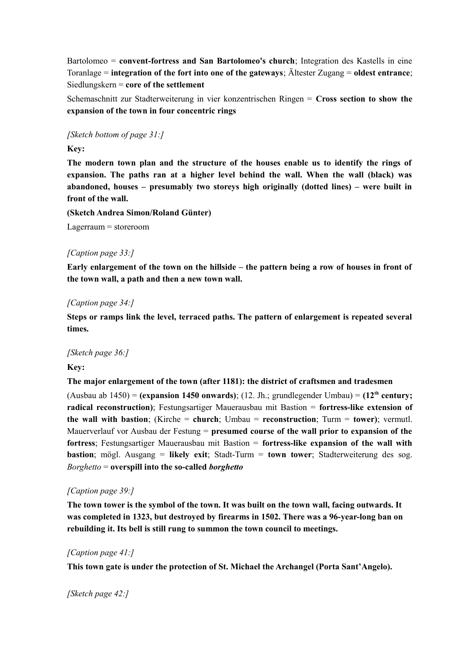Bartolomeo = **convent-fortress and San Bartolomeo's church**; Integration des Kastells in eine Toranlage = **integration of the fort into one of the gateways**; Ältester Zugang = **oldest entrance**; Siedlungskern = **core of the settlement**

Schemaschnitt zur Stadterweiterung in vier konzentrischen Ringen = **Cross section to show the expansion of the town in four concentric rings**

*[Sketch bottom of page 31:]*

## **Key:**

**The modern town plan and the structure of the houses enable us to identify the rings of expansion. The paths ran at a higher level behind the wall. When the wall (black) was abandoned, houses – presumably two storeys high originally (dotted lines) – were built in front of the wall.**

**(Sketch Andrea Simon/Roland Günter)**

Lagerraum = storeroom

#### *[Caption page 33:]*

**Early enlargement of the town on the hillside – the pattern being a row of houses in front of the town wall, a path and then a new town wall.**

#### *[Caption page 34:]*

**Steps or ramps link the level, terraced paths. The pattern of enlargement is repeated several times.**

#### *[Sketch page 36:]*

#### **Key:**

**The major enlargement of the town (after 1181): the district of craftsmen and tradesmen**

(Ausbau ab 1450) = **(expansion 1450 onwards)**; (12. Jh.; grundlegender Umbau) = **(12th century; radical reconstruction)**; Festungsartiger Mauerausbau mit Bastion = **fortress-like extension of the wall with bastion**; (Kirche = **church**; Umbau = **reconstruction**; Turm = **tower)**; vermutl. Mauerverlauf vor Ausbau der Festung = **presumed course of the wall prior to expansion of the fortress**; Festungsartiger Mauerausbau mit Bastion = **fortress-like expansion of the wall with bastion**; mögl. Ausgang = **likely exit**; Stadt-Turm = **town tower**; Stadterweiterung des sog. *Borghetto* = **overspill into the so-called** *borghetto*

#### *[Caption page 39:]*

**The town tower is the symbol of the town. It was built on the town wall, facing outwards. It was completed in 1323, but destroyed by firearms in 1502. There was a 96-year-long ban on rebuilding it. Its bell is still rung to summon the town council to meetings.**

#### *[Caption page 41:]*

**This town gate is under the protection of St. Michael the Archangel (Porta Sant'Angelo).**

#### *[Sketch page 42:]*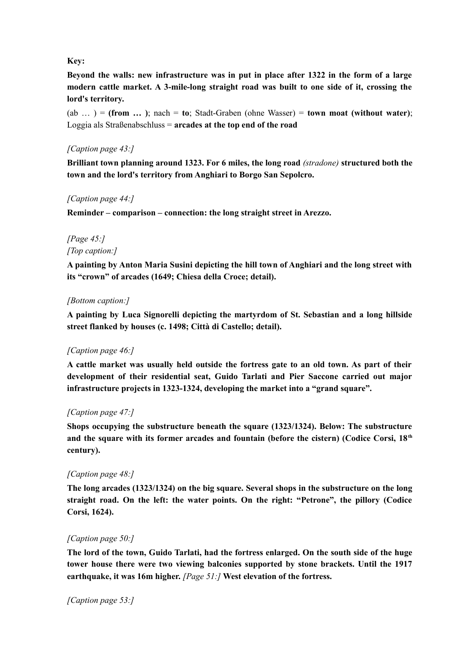#### **Key:**

**Beyond the walls: new infrastructure was in put in place after 1322 in the form of a large modern cattle market. A 3-mile-long straight road was built to one side of it, crossing the lord's territory.**

 $(ab \ldots) = (from \ldots)$ ; nach = **to**; Stadt-Graben (ohne Wasser) = **town moat (without water)**; Loggia als Straßenabschluss = **arcades at the top end of the road**

## *[Caption page 43:]*

**Brilliant town planning around 1323. For 6 miles, the long road** *(stradone)* **structured both the town and the lord's territory from Anghiari to Borgo San Sepolcro.**

#### *[Caption page 44:]*

**Reminder – comparison – connection: the long straight street in Arezzo.**

# *[Page 45:] [Top caption:]*

**A painting by Anton Maria Susini depicting the hill town of Anghiari and the long street with its "crown" of arcades (1649; Chiesa della Croce; detail).**

#### *[Bottom caption:]*

**A painting by Luca Signorelli depicting the martyrdom of St. Sebastian and a long hillside street flanked by houses (c. 1498; Città di Castello; detail).**

# *[Caption page 46:]*

**A cattle market was usually held outside the fortress gate to an old town. As part of their development of their residential seat, Guido Tarlati and Pier Saccone carried out major infrastructure projects in 1323-1324, developing the market into a "grand square".**

# *[Caption page 47:]*

**Shops occupying the substructure beneath the square (1323/1324). Below: The substructure and the square with its former arcades and fountain (before the cistern) (Codice Corsi, 18th century).**

#### *[Caption page 48:]*

**The long arcades (1323/1324) on the big square. Several shops in the substructure on the long straight road. On the left: the water points. On the right: "Petrone", the pillory (Codice Corsi, 1624).**

# *[Caption page 50:]*

**The lord of the town, Guido Tarlati, had the fortress enlarged. On the south side of the huge tower house there were two viewing balconies supported by stone brackets. Until the 1917 earthquake, it was 16m higher.** *[Page 51:]* **West elevation of the fortress.**

*[Caption page 53:]*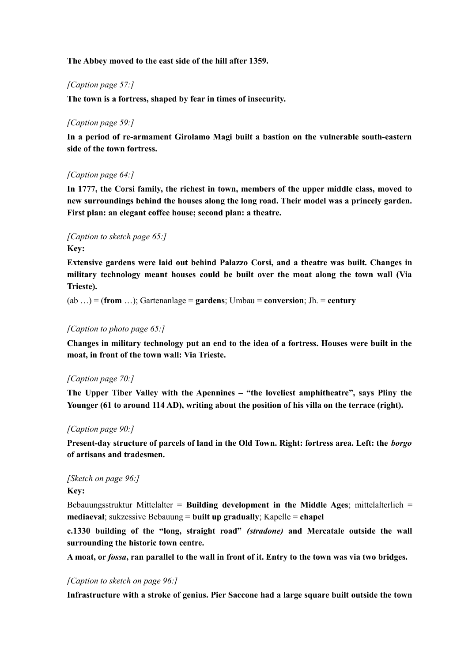#### **The Abbey moved to the east side of the hill after 1359.**

#### *[Caption page 57:]*

**The town is a fortress, shaped by fear in times of insecurity.**

#### *[Caption page 59:]*

**In a period of re-armament Girolamo Magi built a bastion on the vulnerable south-eastern side of the town fortress.**

#### *[Caption page 64:]*

**In 1777, the Corsi family, the richest in town, members of the upper middle class, moved to new surroundings behind the houses along the long road. Their model was a princely garden. First plan: an elegant coffee house; second plan: a theatre.**

## *[Caption to sketch page 65:]* **Key:**

**Extensive gardens were laid out behind Palazzo Corsi, and a theatre was built. Changes in military technology meant houses could be built over the moat along the town wall (Via Trieste).**

(ab …) = (**from** …); Gartenanlage = **gardens**; Umbau = **conversion**; Jh. = **century**

#### *[Caption to photo page 65:]*

**Changes in military technology put an end to the idea of a fortress. Houses were built in the moat, in front of the town wall: Via Trieste.**

#### *[Caption page 70:]*

**The Upper Tiber Valley with the Apennines – "the loveliest amphitheatre", says Pliny the Younger (61 to around 114 AD), writing about the position of his villa on the terrace (right).**

#### *[Caption page 90:]*

**Present-day structure of parcels of land in the Old Town. Right: fortress area. Left: the** *borgo* **of artisans and tradesmen.**

# *[Sketch on page 96:]*

**Key:**

Bebauungsstruktur Mittelalter = **Building development in the Middle Ages**; mittelalterlich = **mediaeval**; sukzessive Bebauung = **built up gradually**; Kapelle = **chapel**

**c.1330 building of the "long, straight road"** *(stradone)* **and Mercatale outside the wall surrounding the historic town centre.**

**A moat, or** *fossa***, ran parallel to the wall in front of it. Entry to the town was via two bridges.**

#### *[Caption to sketch on page 96:]*

**Infrastructure with a stroke of genius. Pier Saccone had a large square built outside the town**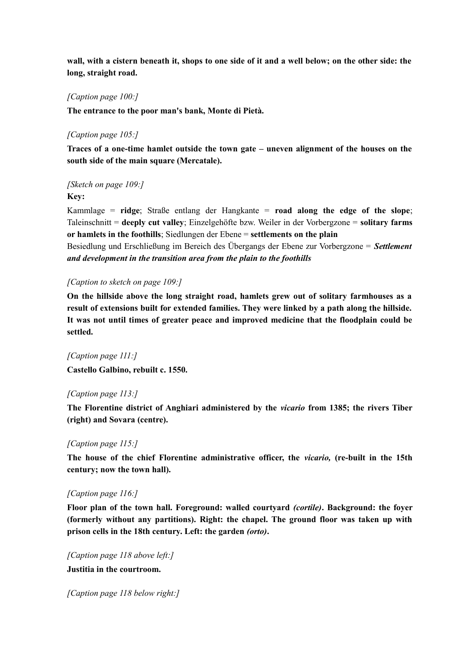**wall, with a cistern beneath it, shops to one side of it and a well below; on the other side: the long, straight road.**

#### *[Caption page 100:]*

**The entrance to the poor man's bank, Monte di Pietà.**

#### *[Caption page 105:]*

**Traces of a one-time hamlet outside the town gate – uneven alignment of the houses on the south side of the main square (Mercatale).**

# *[Sketch on page 109:]*

**Key:**

Kammlage = **ridge**; Straße entlang der Hangkante = **road along the edge of the slope**; Taleinschnitt = **deeply cut valley**; Einzelgehöfte bzw. Weiler in der Vorbergzone = **solitary farms or hamlets in the foothills**; Siedlungen der Ebene = **settlements on the plain** Besiedlung und Erschließung im Bereich des Übergangs der Ebene zur Vorbergzone = *Settlement and development in the transition area from the plain to the foothills*

#### *[Caption to sketch on page 109:]*

**On the hillside above the long straight road, hamlets grew out of solitary farmhouses as a result of extensions built for extended families. They were linked by a path along the hillside. It was not until times of greater peace and improved medicine that the floodplain could be settled.**

*[Caption page 111:]* **Castello Galbino, rebuilt c. 1550.**

#### *[Caption page 113:]*

**The Florentine district of Anghiari administered by the** *vicario* **from 1385; the rivers Tiber (right) and Sovara (centre).**

#### *[Caption page 115:]*

**The house of the chief Florentine administrative officer, the** *vicario,* **(re-built in the 15th century; now the town hall).**

#### *[Caption page 116:]*

**Floor plan of the town hall. Foreground: walled courtyard** *(cortile)***. Background: the foyer (formerly without any partitions). Right: the chapel. The ground floor was taken up with prison cells in the 18th century. Left: the garden** *(orto)***.**

*[Caption page 118 above left:]* **Justitia in the courtroom.**

*[Caption page 118 below right:]*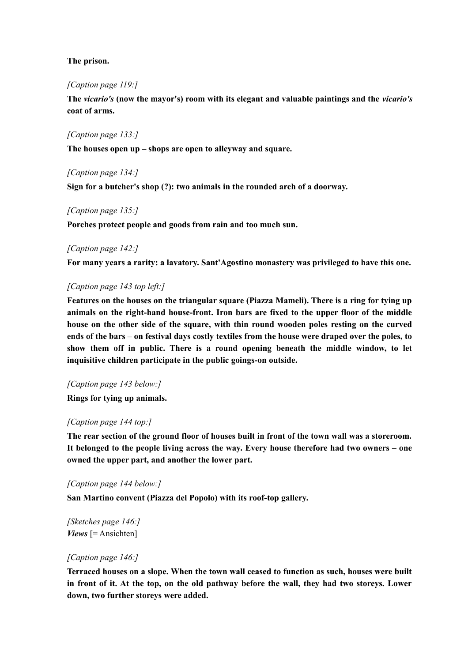#### **The prison.**

#### *[Caption page 119:]*

**The** *vicario's* **(now the mayor's) room with its elegant and valuable paintings and the** *vicario's* **coat of arms.**

#### *[Caption page 133:]*

**The houses open up – shops are open to alleyway and square.**

#### *[Caption page 134:]*

**Sign for a butcher's shop (?): two animals in the rounded arch of a doorway.**

#### *[Caption page 135:]*

**Porches protect people and goods from rain and too much sun.**

#### *[Caption page 142:]*

**For many years a rarity: a lavatory. Sant'Agostino monastery was privileged to have this one.**

#### *[Caption page 143 top left:]*

**Features on the houses on the triangular square (Piazza Mameli). There is a ring for tying up animals on the right-hand house-front. Iron bars are fixed to the upper floor of the middle house on the other side of the square, with thin round wooden poles resting on the curved ends of the bars – on festival days costly textiles from the house were draped over the poles, to show them off in public. There is a round opening beneath the middle window, to let inquisitive children participate in the public goings-on outside.**

#### *[Caption page 143 below:]*

**Rings for tying up animals.**

#### *[Caption page 144 top:]*

**The rear section of the ground floor of houses built in front of the town wall was a storeroom. It belonged to the people living across the way. Every house therefore had two owners – one owned the upper part, and another the lower part.**

#### *[Caption page 144 below:]*

**San Martino convent (Piazza del Popolo) with its roof-top gallery.**

*[Sketches page 146:] Views* [= Ansichten]

#### *[Caption page 146:]*

**Terraced houses on a slope. When the town wall ceased to function as such, houses were built in front of it. At the top, on the old pathway before the wall, they had two storeys. Lower down, two further storeys were added.**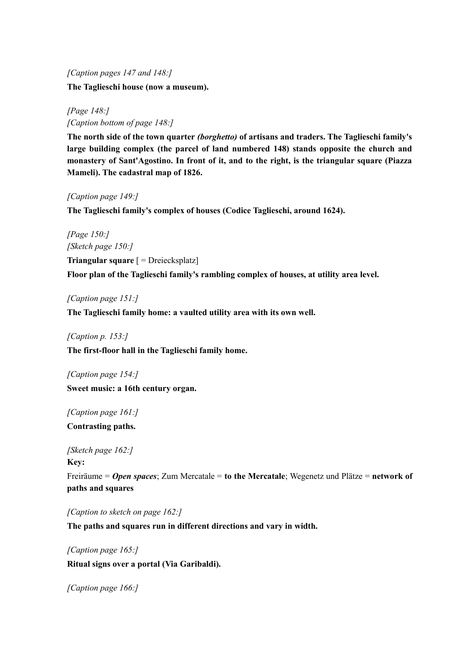*[Caption pages 147 and 148:]*

**The Taglieschi house (now a museum).**

*[Page 148:] [Caption bottom of page 148:]*

**The north side of the town quarter** *(borghetto)* **of artisans and traders. The Taglieschi family's large building complex (the parcel of land numbered 148) stands opposite the church and monastery of Sant'Agostino. In front of it, and to the right, is the triangular square (Piazza Mameli). The cadastral map of 1826.**

*[Caption page 149:]*

**The Taglieschi family's complex of houses (Codice Taglieschi, around 1624).**

*[Page 150:] [Sketch page 150:]*

**Triangular square** [ = Dreiecksplatz] **Floor plan of the Taglieschi family's rambling complex of houses, at utility area level.**

*[Caption page 151:]*

**The Taglieschi family home: a vaulted utility area with its own well.**

*[Caption p. 153:]* **The first-floor hall in the Taglieschi family home.**

*[Caption page 154:]* **Sweet music: a 16th century organ.**

*[Caption page 161:]* **Contrasting paths.**

*[Sketch page 162:]* **Key:**

Freiräume = *Open spaces*; Zum Mercatale = **to the Mercatale**; Wegenetz und Plätze = **network of paths and squares**

*[Caption to sketch on page 162:]*

**The paths and squares run in different directions and vary in width.**

*[Caption page 165:]* **Ritual signs over a portal (Via Garibaldi).**

*[Caption page 166:]*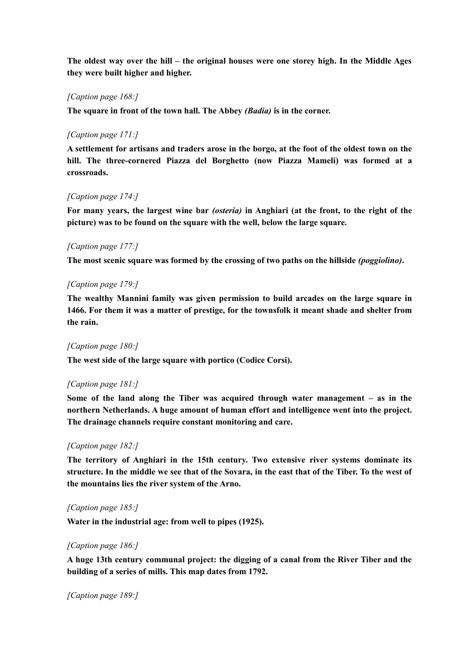**The oldest way over the hill – the original houses were one storey high. In the Middle Ages they were built higher and higher.**

## *[Caption page 168:]*

**The square in front of the town hall. The Abbey** *(Badia)* **is in the corner.**

#### *[Caption page 171:]*

**A settlement for artisans and traders arose in the borgo, at the foot of the oldest town on the hill. The three-cornered Piazza del Borghetto (now Piazza Mameli) was formed at a crossroads.**

#### *[Caption page 174:]*

**For many years, the largest wine bar** *(osteria)* **in Anghiari (at the front, to the right of the picture) was to be found on the square with the well, below the large square.**

#### *[Caption page 177:]*

**The most scenic square was formed by the crossing of two paths on the hillside** *(poggiolino)***.**

#### *[Caption page 179:]*

**The wealthy Mannini family was given permission to build arcades on the large square in 1466. For them it was a matter of prestige, for the townsfolk it meant shade and shelter from the rain.**

#### *[Caption page 180:]*

**The west side of the large square with portico (Codice Corsi).**

#### *[Caption page 181:]*

**Some of the land along the Tiber was acquired through water management – as in the northern Netherlands. A huge amount of human effort and intelligence went into the project. The drainage channels require constant monitoring and care.**

#### *[Caption page 182:]*

**The territory of Anghiari in the 15th century. Two extensive river systems dominate its structure. In the middle we see that of the Sovara, in the east that of the Tiber. To the west of the mountains lies the river system of the Arno.**

#### *[Caption page 185:]*

**Water in the industrial age: from well to pipes (1925).**

#### *[Caption page 186:]*

**A huge 13th century communal project: the digging of a canal from the River Tiber and the building of a series of mills. This map dates from 1792.**

*[Caption page 189:]*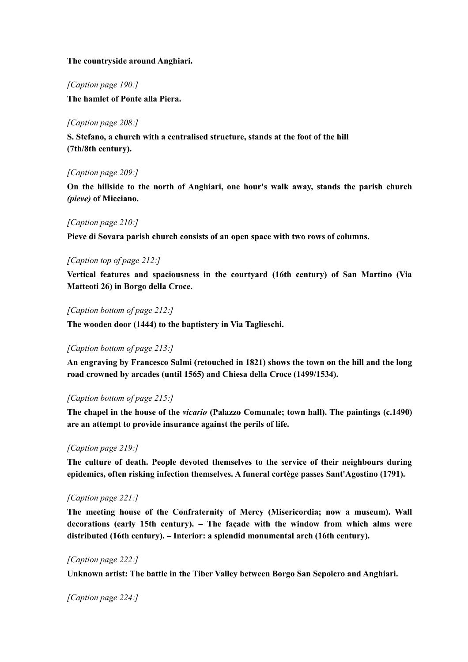#### **The countryside around Anghiari.**

*[Caption page 190:]*

**The hamlet of Ponte alla Piera.**

#### *[Caption page 208:]*

**S. Stefano, a church with a centralised structure, stands at the foot of the hill (7th/8th century).**

#### *[Caption page 209:]*

**On the hillside to the north of Anghiari, one hour's walk away, stands the parish church** *(pieve)* **of Micciano.**

#### *[Caption page 210:]*

**Pieve di Sovara parish church consists of an open space with two rows of columns.**

#### *[Caption top of page 212:]*

**Vertical features and spaciousness in the courtyard (16th century) of San Martino (Via Matteoti 26) in Borgo della Croce.**

#### *[Caption bottom of page 212:]*

**The wooden door (1444) to the baptistery in Via Taglieschi.**

#### *[Caption bottom of page 213:]*

**An engraving by Francesco Salmi (retouched in 1821) shows the town on the hill and the long road crowned by arcades (until 1565) and Chiesa della Croce (1499/1534).**

#### *[Caption bottom of page 215:]*

**The chapel in the house of the** *vicario* **(Palazzo Comunale; town hall). The paintings (c.1490) are an attempt to provide insurance against the perils of life.**

#### *[Caption page 219:]*

**The culture of death. People devoted themselves to the service of their neighbours during epidemics, often risking infection themselves. A funeral cortège passes Sant'Agostino (1791).**

#### *[Caption page 221:]*

**The meeting house of the Confraternity of Mercy (Misericordia; now a museum). Wall decorations (early 15th century). – The façade with the window from which alms were distributed (16th century). – Interior: a splendid monumental arch (16th century).**

#### *[Caption page 222:]*

**Unknown artist: The battle in the Tiber Valley between Borgo San Sepolcro and Anghiari.**

*[Caption page 224:]*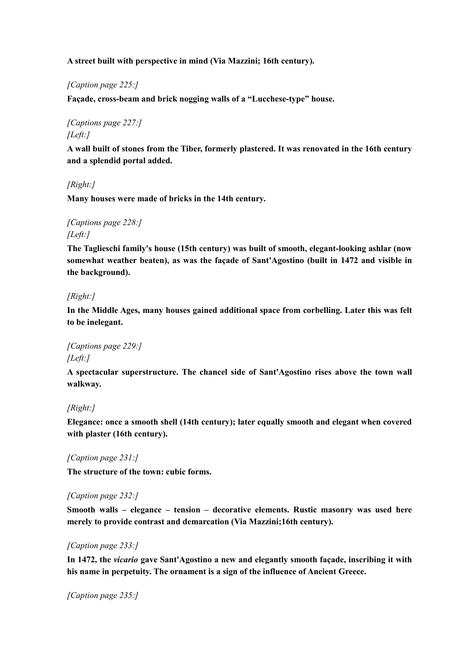**A street built with perspective in mind (Via Mazzini; 16th century).**

*[Caption page 225:]*

**Façade, cross-beam and brick nogging walls of a "Lucchese-type" house.**

*[Captions page 227:] [Left:]*

**A wall built of stones from the Tiber, formerly plastered. It was renovated in the 16th century and a splendid portal added.**

*[Right:]*

**Many houses were made of bricks in the 14th century.**

*[Captions page 228:] [Left:]*

**The Taglieschi family's house (15th century) was built of smooth, elegant-looking ashlar (now somewhat weather beaten), as was the façade of Sant'Agostino (built in 1472 and visible in the background).**

# *[Right:]*

**In the Middle Ages, many houses gained additional space from corbelling. Later this was felt to be inelegant.**

*[Captions page 229:] [Left:]*

**A spectacular superstructure. The chancel side of Sant'Agostino rises above the town wall walkway.**

#### *[Right:]*

**Elegance: once a smooth shell (14th century); later equally smooth and elegant when covered with plaster (16th century).**

*[Caption page 231:]*

**The structure of the town: cubic forms.**

#### *[Caption page 232:]*

**Smooth walls – elegance – tension – decorative elements. Rustic masonry was used here merely to provide contrast and demarcation (Via Mazzini;16th century).**

#### *[Caption page 233:]*

**In 1472, the** *vicario* **gave Sant'Agostino a new and elegantly smooth façade, inscribing it with his name in perpetuity. The ornament is a sign of the influence of Ancient Greece.**

*[Caption page 235:]*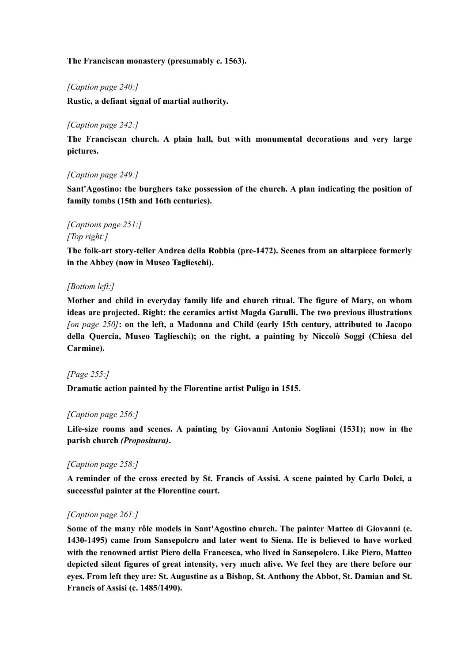#### **The Franciscan monastery (presumably c. 1563).**

#### *[Caption page 240:]*

**Rustic, a defiant signal of martial authority.**

#### *[Caption page 242:]*

**The Franciscan church. A plain hall, but with monumental decorations and very large pictures.**

#### *[Caption page 249:]*

**Sant'Agostino: the burghers take possession of the church. A plan indicating the position of family tombs (15th and 16th centuries).**

# *[Captions page 251:] [Top right:]*

**The folk-art story-teller Andrea della Robbia (pre-1472). Scenes from an altarpiece formerly in the Abbey (now in Museo Taglieschi).**

#### *[Bottom left:]*

**Mother and child in everyday family life and church ritual. The figure of Mary, on whom ideas are projected. Right: the ceramics artist Magda Garulli. The two previous illustrations** *[on page 250]***: on the left, a Madonna and Child (early 15th century, attributed to Jacopo della Quercia, Museo Taglieschi); on the right, a painting by Niccolò Soggi (Chiesa del Carmine).**

#### *[Page 255:]*

**Dramatic action painted by the Florentine artist Puligo in 1515.**

#### *[Caption page 256:]*

**Life-size rooms and scenes. A painting by Giovanni Antonio Sogliani (1531); now in the parish church** *(Propositura)***.**

#### *[Caption page 258:]*

**A reminder of the cross erected by St. Francis of Assisi. A scene painted by Carlo Dolci, a successful painter at the Florentine court.**

#### *[Caption page 261:]*

**Some of the many rôle models in Sant'Agostino church. The painter Matteo di Giovanni (c. 1430-1495) came from Sansepolcro and later went to Siena. He is believed to have worked with the renowned artist Piero della Francesca, who lived in Sansepolcro. Like Piero, Matteo depicted silent figures of great intensity, very much alive. We feel they are there before our eyes. From left they are: St. Augustine as a Bishop, St. Anthony the Abbot, St. Damian and St. Francis of Assisi (c. 1485/1490).**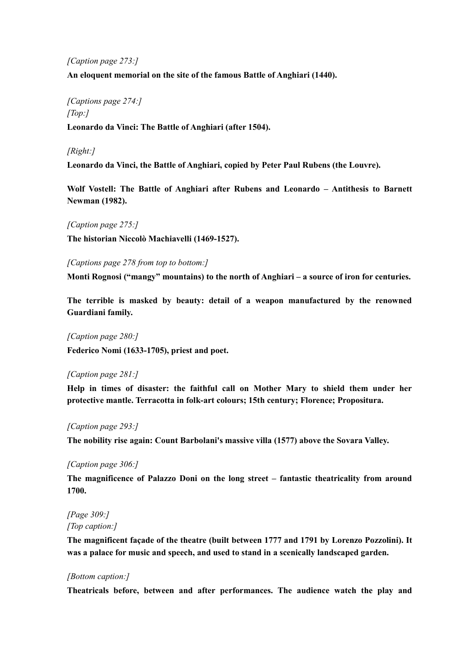#### *[Caption page 273:]*

**An eloquent memorial on the site of the famous Battle of Anghiari (1440).**

# *[Captions page 274:] [Top:]*

**Leonardo da Vinci: The Battle of Anghiari (after 1504).**

## *[Right:]*

**Leonardo da Vinci, the Battle of Anghiari, copied by Peter Paul Rubens (the Louvre).**

**Wolf Vostell: The Battle of Anghiari after Rubens and Leonardo – Antithesis to Barnett Newman (1982).**

#### *[Caption page 275:]*

**The historian Niccolò Machiavelli (1469-1527).**

*[Captions page 278 from top to bottom:]*

**Monti Rognosi ("mangy" mountains) to the north of Anghiari – a source of iron for centuries.**

**The terrible is masked by beauty: detail of a weapon manufactured by the renowned Guardiani family.**

*[Caption page 280:]* **Federico Nomi (1633-1705), priest and poet.**

#### *[Caption page 281:]*

**Help in times of disaster: the faithful call on Mother Mary to shield them under her protective mantle. Terracotta in folk-art colours; 15th century; Florence; Propositura.**

#### *[Caption page 293:]*

**The nobility rise again: Count Barbolani's massive villa (1577) above the Sovara Valley.**

#### *[Caption page 306:]*

**The magnificence of Palazzo Doni on the long street – fantastic theatricality from around 1700.**

*[Page 309:] [Top caption:]*

**The magnificent façade of the theatre (built between 1777 and 1791 by Lorenzo Pozzolini). It was a palace for music and speech, and used to stand in a scenically landscaped garden.**

#### *[Bottom caption:]*

**Theatricals before, between and after performances. The audience watch the play and**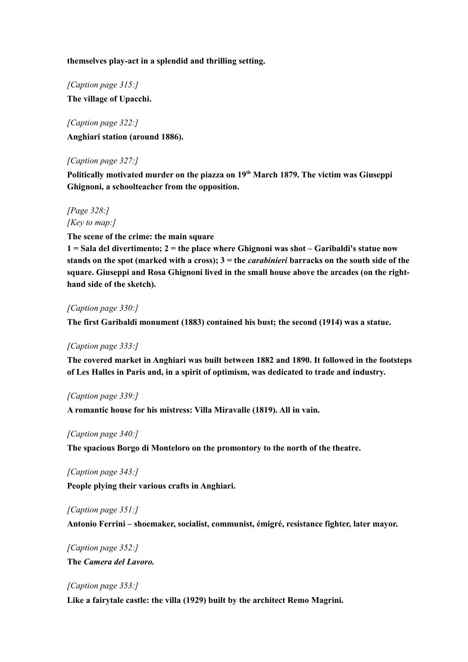**themselves play-act in a splendid and thrilling setting.**

*[Caption page 315:]* **The village of Upacchi.**

*[Caption page 322:]* **Anghiari station (around 1886).**

## *[Caption page 327:]*

**Politically motivated murder on the piazza on 19th March 1879. The victim was Giuseppi Ghignoni, a schoolteacher from the opposition.**

*[Page 328:] [Key to map:]*

**The scene of the crime: the main square**

**1 = Sala del divertimento; 2 = the place where Ghignoni was shot – Garibaldi's statue now stands on the spot (marked with a cross); 3 = the** *carabinieri* **barracks on the south side of the square. Giuseppi and Rosa Ghignoni lived in the small house above the arcades (on the righthand side of the sketch).**

#### *[Caption page 330:]*

**The first Garibaldi monument (1883) contained his bust; the second (1914) was a statue.**

#### *[Caption page 333:]*

**The covered market in Anghiari was built between 1882 and 1890. It followed in the footsteps of Les Halles in Paris and, in a spirit of optimism, was dedicated to trade and industry.**

#### *[Caption page 339:]*

**A romantic house for his mistress: Villa Miravalle (1819). All in vain.**

#### *[Caption page 340:]*

**The spacious Borgo di Monteloro on the promontory to the north of the theatre.**

*[Caption page 343:]*

**People plying their various crafts in Anghiari.**

#### *[Caption page 351:]*

**Antonio Ferrini – shoemaker, socialist, communist, émigré, resistance fighter, later mayor.**

*[Caption page 352:]* **The** *Camera del Lavoro.*

#### *[Caption page 353:]*

**Like a fairytale castle: the villa (1929) built by the architect Remo Magrini.**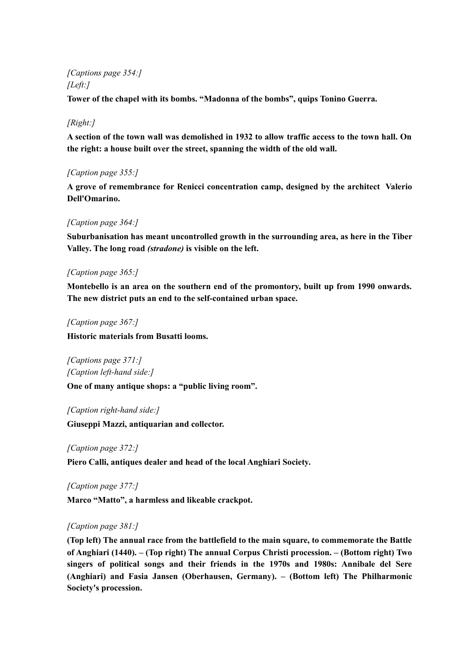# *[Captions page 354:] [Left:]*

**Tower of the chapel with its bombs. "Madonna of the bombs", quips Tonino Guerra.**

# *[Right:]*

**A section of the town wall was demolished in 1932 to allow traffic access to the town hall. On the right: a house built over the street, spanning the width of the old wall.**

# *[Caption page 355:]*

**A grove of remembrance for Renicci concentration camp, designed by the architect Valerio Dell'Omarino.**

## *[Caption page 364:]*

**Suburbanisation has meant uncontrolled growth in the surrounding area, as here in the Tiber Valley. The long road** *(stradone)* **is visible on the left.**

## *[Caption page 365:]*

**Montebello is an area on the southern end of the promontory, built up from 1990 onwards. The new district puts an end to the self-contained urban space.**

#### *[Caption page 367:]*

**Historic materials from Busatti looms.**

*[Captions page 371:] [Caption left-hand side:]*

**One of many antique shops: a "public living room".**

*[Caption right-hand side:]* **Giuseppi Mazzi, antiquarian and collector.**

*[Caption page 372:]*

**Piero Calli, antiques dealer and head of the local Anghiari Society.**

*[Caption page 377:]*

**Marco "Matto", a harmless and likeable crackpot.**

# *[Caption page 381:]*

**(Top left) The annual race from the battlefield to the main square, to commemorate the Battle of Anghiari (1440). – (Top right) The annual Corpus Christi procession. – (Bottom right) Two singers of political songs and their friends in the 1970s and 1980s: Annibale del Sere (Anghiari) and Fasia Jansen (Oberhausen, Germany). – (Bottom left) The Philharmonic Society's procession.**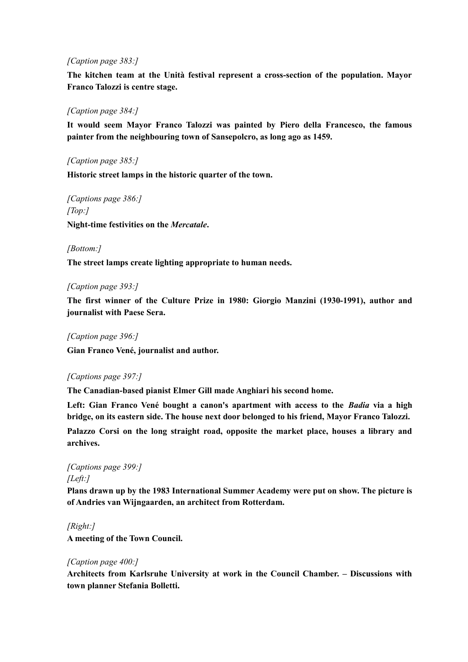#### *[Caption page 383:]*

**The kitchen team at the Unità festival represent a cross-section of the population. Mayor Franco Talozzi is centre stage.**

#### *[Caption page 384:]*

**It would seem Mayor Franco Talozzi was painted by Piero della Francesco, the famous painter from the neighbouring town of Sansepolcro, as long ago as 1459.**

#### *[Caption page 385:]*

**Historic street lamps in the historic quarter of the town.**

*[Captions page 386:] [Top:]* **Night-time festivities on the** *Mercatale***.**

#### *[Bottom:]*

**The street lamps create lighting appropriate to human needs.**

#### *[Caption page 393:]*

**The first winner of the Culture Prize in 1980: Giorgio Manzini (1930-1991), author and journalist with Paese Sera.**

#### *[Caption page 396:]*

**Gian Franco Vené, journalist and author.**

#### *[Captions page 397:]*

**The Canadian-based pianist Elmer Gill made Anghiari his second home.**

**Left: Gian Franco Vené bought a canon's apartment with access to the** *Badia* **via a high bridge, on its eastern side. The house next door belonged to his friend, Mayor Franco Talozzi.**

**Palazzo Corsi on the long straight road, opposite the market place, houses a library and archives.**

# *[Captions page 399:] [Left:]*

**Plans drawn up by the 1983 International Summer Academy were put on show. The picture is of Andries van Wijngaarden, an architect from Rotterdam.**

#### *[Right:]*

**A meeting of the Town Council.**

#### *[Caption page 400:]*

**Architects from Karlsruhe University at work in the Council Chamber. – Discussions with town planner Stefania Bolletti.**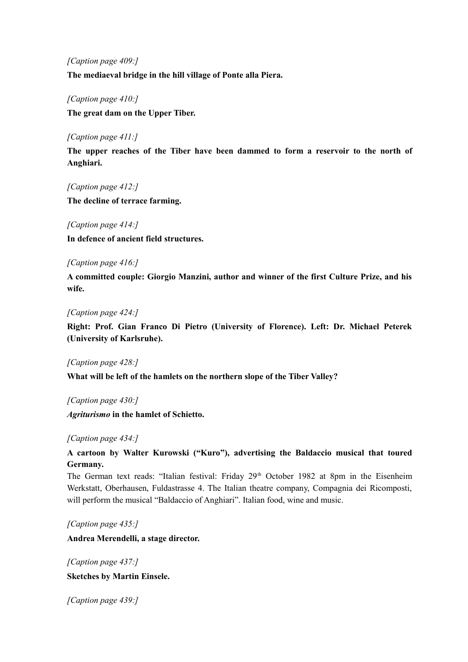*[Caption page 409:]*

**The mediaeval bridge in the hill village of Ponte alla Piera.**

*[Caption page 410:]*

**The great dam on the Upper Tiber.**

#### *[Caption page 411:]*

**The upper reaches of the Tiber have been dammed to form a reservoir to the north of Anghiari.**

*[Caption page 412:]*

**The decline of terrace farming.**

#### *[Caption page 414:]*

**In defence of ancient field structures.**

#### *[Caption page 416:]*

**A committed couple: Giorgio Manzini, author and winner of the first Culture Prize, and his wife.**

#### *[Caption page 424:]*

**Right: Prof. Gian Franco Di Pietro (University of Florence). Left: Dr. Michael Peterek (University of Karlsruhe).**

*[Caption page 428:]*

**What will be left of the hamlets on the northern slope of the Tiber Valley?**

*[Caption page 430:]*

*Agriturismo* **in the hamlet of Schietto.**

#### *[Caption page 434:]*

# **A cartoon by Walter Kurowski ("Kuro"), advertising the Baldaccio musical that toured Germany.**

The German text reads: "Italian festival: Friday 29<sup>th</sup> October 1982 at 8pm in the Eisenheim Werkstatt, Oberhausen, Fuldastrasse 4. The Italian theatre company, Compagnia dei Ricomposti, will perform the musical "Baldaccio of Anghiari". Italian food, wine and music.

*[Caption page 435:]*

**Andrea Merendelli, a stage director.**

*[Caption page 437:]* **Sketches by Martin Einsele.**

*[Caption page 439:]*